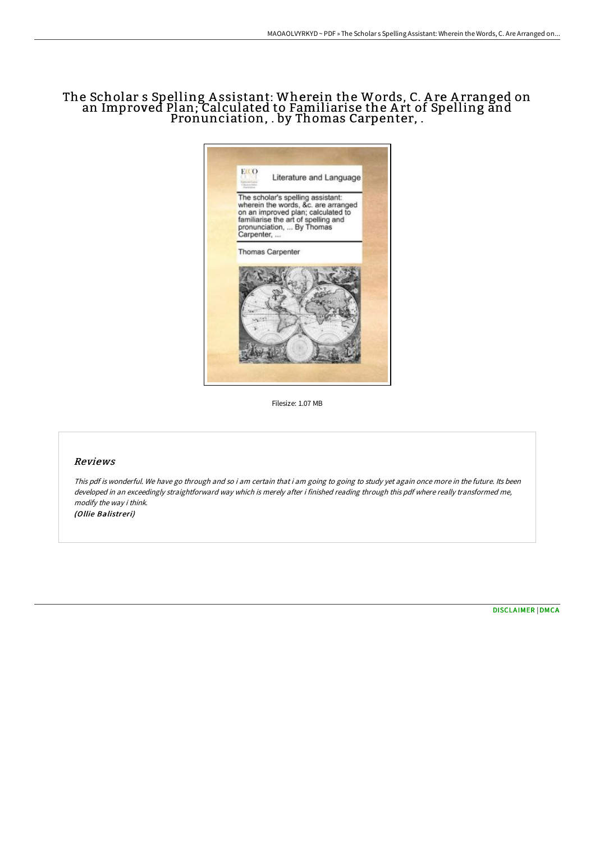## The Scholar s Spelling A ssistant: Wherein the Words, C. A re A rranged on an Improved Plan; Calculated to Familiarise the A rt of Spelling and Pronunciation, . by Thomas Carpenter, .



Filesize: 1.07 MB

## Reviews

This pdf is wonderful. We have go through and so i am certain that i am going to going to study yet again once more in the future. Its been developed in an exceedingly straightforward way which is merely after i finished reading through this pdf where really transformed me, modify the way i think.

(Ollie Balistreri)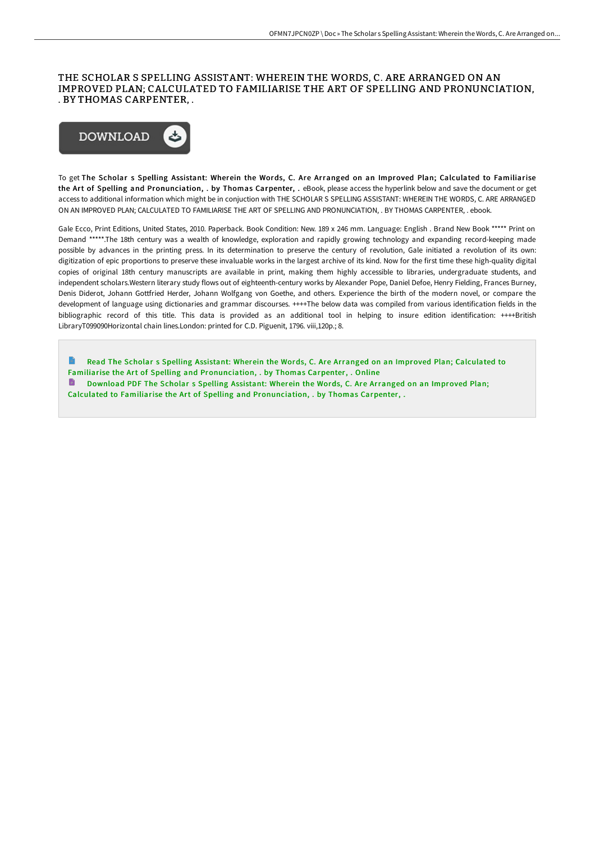## THE SCHOLAR S SPELLING ASSISTANT: WHEREIN THE WORDS, C. ARE ARRANGED ON AN IMPROVED PLAN; CALCULATED TO FAMILIARISE THE ART OF SPELLING AND PRONUNCIATION, . BY THOMAS CARPENTER, .



To get The Scholar s Spelling Assistant: Wherein the Words, C. Are Arranged on an Improved Plan; Calculated to Familiarise the Art of Spelling and Pronunciation, . by Thomas Carpenter, . eBook, please access the hyperlink below and save the document or get access to additional information which might be in conjuction with THE SCHOLAR S SPELLING ASSISTANT: WHEREIN THE WORDS, C. ARE ARRANGED ON AN IMPROVED PLAN; CALCULATED TO FAMILIARISE THE ART OF SPELLING AND PRONUNCIATION, . BY THOMAS CARPENTER, . ebook.

Gale Ecco, Print Editions, United States, 2010. Paperback. Book Condition: New. 189 x 246 mm. Language: English . Brand New Book \*\*\*\*\* Print on Demand \*\*\*\*\*.The 18th century was a wealth of knowledge, exploration and rapidly growing technology and expanding record-keeping made possible by advances in the printing press. In its determination to preserve the century of revolution, Gale initiated a revolution of its own: digitization of epic proportions to preserve these invaluable works in the largest archive of its kind. Now for the first time these high-quality digital copies of original 18th century manuscripts are available in print, making them highly accessible to libraries, undergraduate students, and independent scholars.Western literary study flows out of eighteenth-century works by Alexander Pope, Daniel Defoe, Henry Fielding, Frances Burney, Denis Diderot, Johann Gottfried Herder, Johann Wolfgang von Goethe, and others. Experience the birth of the modern novel, or compare the development of language using dictionaries and grammar discourses. ++++The below data was compiled from various identification fields in the bibliographic record of this title. This data is provided as an additional tool in helping to insure edition identification: ++++British LibraryT099090Horizontal chain lines.London: printed for C.D. Piguenit, 1796. viii,120p.; 8.

B. Read The Scholar s Spelling Assistant: Wherein the Words, C. Are Arranged on an Improved Plan; Calculated to Familiarise the Art of Spelling and [Pronunciation,](http://techno-pub.tech/the-scholar-s-spelling-assistant-wherein-the-wor.html) . by Thomas Carpenter, . Online Download PDF The Scholar s Spelling Assistant: Wherein the Words, C. Are Arranged on an Improved Plan; Calculated to Familiarise the Art of Spelling and [Pronunciation,](http://techno-pub.tech/the-scholar-s-spelling-assistant-wherein-the-wor.html) . by Thomas Carpenter, .